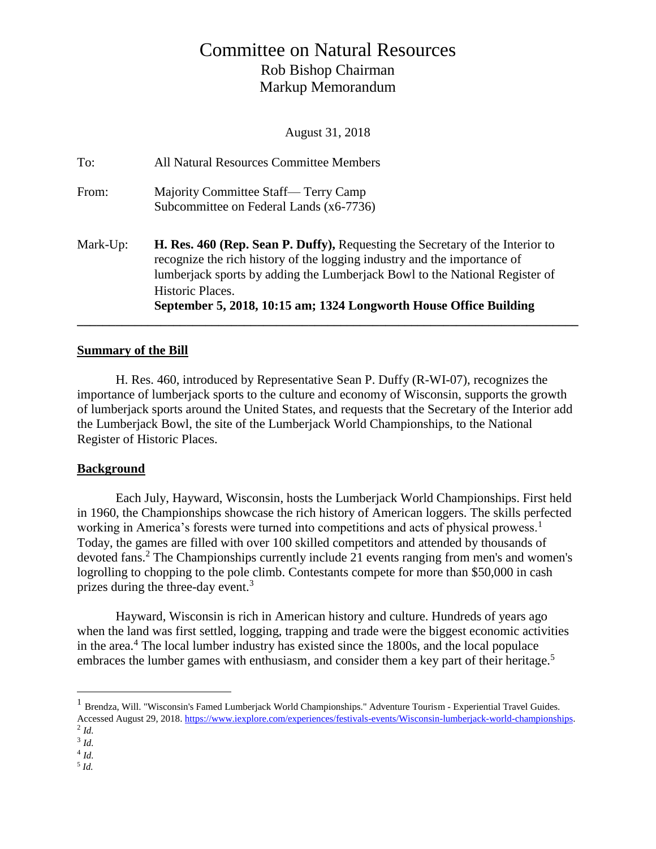# Committee on Natural Resources Rob Bishop Chairman Markup Memorandum

August 31, 2018

|          | Historic Places.<br>September 5, 2018, 10:15 am; 1324 Longworth House Office Building                                                                   |
|----------|---------------------------------------------------------------------------------------------------------------------------------------------------------|
|          | recognize the rich history of the logging industry and the importance of<br>lumberjack sports by adding the Lumberjack Bowl to the National Register of |
| Mark-Up: | <b>H. Res. 460 (Rep. Sean P. Duffy), Requesting the Secretary of the Interior to</b>                                                                    |
| From:    | Majority Committee Staff— Terry Camp<br>Subcommittee on Federal Lands (x6-7736)                                                                         |
|          |                                                                                                                                                         |
| To:      | All Natural Resources Committee Members                                                                                                                 |

### **Summary of the Bill**

H. Res. 460, introduced by Representative Sean P. Duffy (R-WI-07), recognizes the importance of lumberjack sports to the culture and economy of Wisconsin, supports the growth of lumberjack sports around the United States, and requests that the Secretary of the Interior add the Lumberjack Bowl, the site of the Lumberjack World Championships, to the National Register of Historic Places.

**\_\_\_\_\_\_\_\_\_\_\_\_\_\_\_\_\_\_\_\_\_\_\_\_\_\_\_\_\_\_\_\_\_\_\_\_\_\_\_\_\_\_\_\_\_\_\_\_\_\_\_\_\_\_\_\_\_\_\_\_\_\_\_\_\_\_\_\_\_\_\_\_\_\_\_\_\_\_**

#### **Background**

Each July, Hayward, Wisconsin, hosts the Lumberjack World Championships. First held in 1960, the Championships showcase the rich history of American loggers. The skills perfected working in America's forests were turned into competitions and acts of physical prowess.<sup>1</sup> Today, the games are filled with over 100 skilled competitors and attended by thousands of devoted fans. <sup>2</sup> The Championships currently include 21 events ranging from men's and women's logrolling to chopping to the pole climb. Contestants compete for more than \$50,000 in cash prizes during the three-day event.<sup>3</sup>

Hayward, Wisconsin is rich in American history and culture. Hundreds of years ago when the land was first settled, logging, trapping and trade were the biggest economic activities in the area.<sup>4</sup> The local lumber industry has existed since the  $1800s$ , and the local populace embraces the lumber games with enthusiasm, and consider them a key part of their heritage.<sup>5</sup>

 $\overline{a}$ 

<sup>&</sup>lt;sup>1</sup> Brendza, Will. "Wisconsin's Famed Lumberjack World Championships." Adventure Tourism - Experiential Travel Guides. Accessed August 29, 2018[. https://www.iexplore.com/experiences/festivals-events/Wisconsin-lumberjack-world-championships.](https://www.iexplore.com/experiences/festivals-events/Wisconsin-lumberjack-world-championships) 2 *Id.*

<sup>3</sup> *Id.*

<sup>4</sup> *Id.*

<sup>5</sup> *Id.*